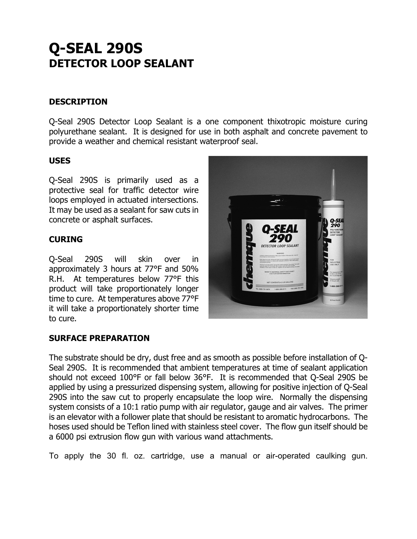# **Q-SEAL 290S DETECTOR LOOP SEALANT**

### **DESCRIPTION**

Q-Seal 290S Detector Loop Sealant is a one component thixotropic moisture curing polyurethane sealant. It is designed for use in both asphalt and concrete pavement to provide a weather and chemical resistant waterproof seal.

#### **USES**

Q-Seal 290S is primarily used as a protective seal for traffic detector wire loops employed in actuated intersections. It may be used as a sealant for saw cuts in concrete or asphalt surfaces.

#### **CURING**

Q-Seal 290S will skin over in approximately 3 hours at 77°F and 50% R.H. At temperatures below 77°F this product will take proportionately longer time to cure. At temperatures above 77°F it will take a proportionately shorter time to cure.



#### **SURFACE PREPARATION**

The substrate should be dry, dust free and as smooth as possible before installation of Q-Seal 290S. It is recommended that ambient temperatures at time of sealant application should not exceed 100°F or fall below 36°F. It is recommended that Q-Seal 290S be applied by using a pressurized dispensing system, allowing for positive injection of Q-Seal 290S into the saw cut to properly encapsulate the loop wire. Normally the dispensing system consists of a 10:1 ratio pump with air regulator, gauge and air valves. The primer is an elevator with a follower plate that should be resistant to aromatic hydrocarbons. The hoses used should be Teflon lined with stainless steel cover. The flow gun itself should be a 6000 psi extrusion flow gun with various wand attachments.

To apply the 30 fl. oz. cartridge, use a manual or air-operated caulking gun.